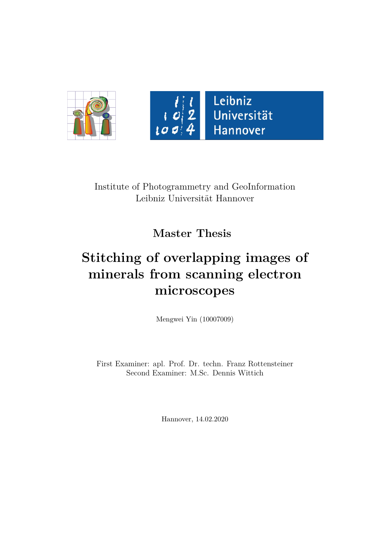



Leibniz Universität Hannover

Institute of Photogrammetry and GeoInformation Leibniz Universität Hannover

**Master Thesis**

## **Stitching of overlapping images of minerals from scanning electron microscopes**

Mengwei Yin (10007009)

First Examiner: apl. Prof. Dr. techn. Franz Rottensteiner Second Examiner: M.Sc. Dennis Wittich

Hannover, 14.02.2020